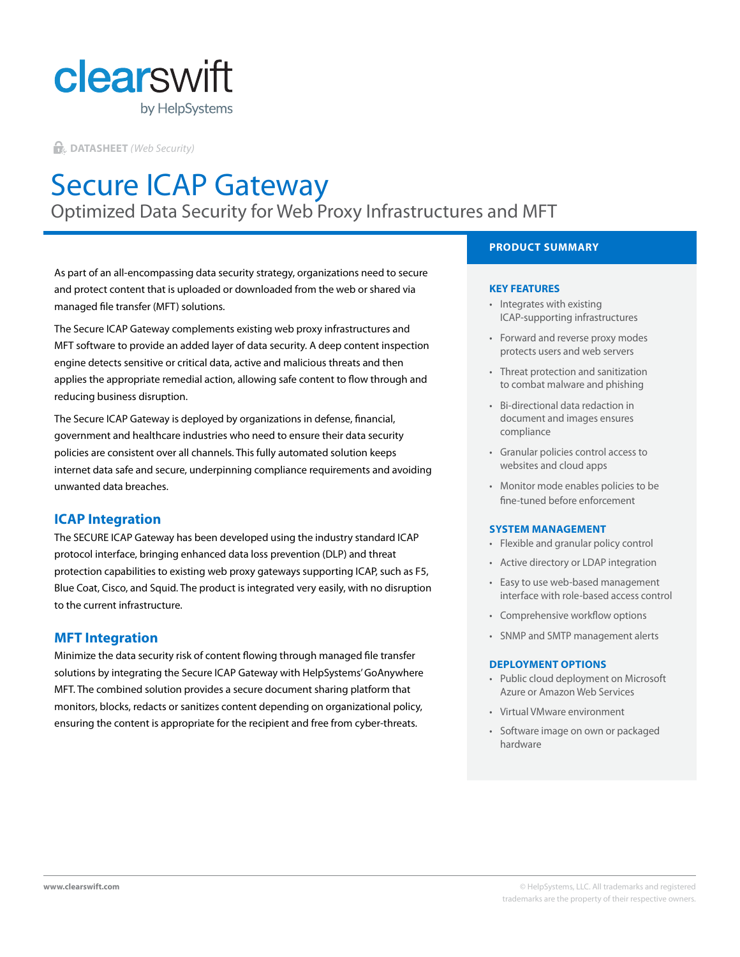

**DATASHEET** *(Web Security)*

# Secure ICAP Gateway Optimized Data Security for Web Proxy Infrastructures and MFT

As part of an all-encompassing data security strategy, organizations need to secure and protect content that is uploaded or downloaded from the web or shared via managed file transfer (MFT) solutions.

The Secure ICAP Gateway complements existing web proxy infrastructures and MFT software to provide an added layer of data security. A deep content inspection engine detects sensitive or critical data, active and malicious threats and then applies the appropriate remedial action, allowing safe content to flow through and reducing business disruption.

The Secure ICAP Gateway is deployed by organizations in defense, financial, government and healthcare industries who need to ensure their data security policies are consistent over all channels. This fully automated solution keeps internet data safe and secure, underpinning compliance requirements and avoiding unwanted data breaches.

# **ICAP Integration**

The SECURE ICAP Gateway has been developed using the industry standard ICAP protocol interface, bringing enhanced data loss prevention (DLP) and threat protection capabilities to existing web proxy gateways supporting ICAP, such as F5, Blue Coat, Cisco, and Squid. The product is integrated very easily, with no disruption to the current infrastructure.

#### **MFT Integration**

Minimize the data security risk of content flowing through managed file transfer solutions by integrating the Secure ICAP Gateway with HelpSystems' GoAnywhere MFT. The combined solution provides a secure document sharing platform that monitors, blocks, redacts or sanitizes content depending on organizational policy, ensuring the content is appropriate for the recipient and free from cyber-threats.

## **PRODUCT SUMMARY**

#### **KEY FEATURES**

- Integrates with existing ICAP-supporting infrastructures
- Forward and reverse proxy modes protects users and web servers
- Threat protection and sanitization to combat malware and phishing
- Bi-directional data redaction in document and images ensures compliance
- Granular policies control access to websites and cloud apps
- Monitor mode enables policies to be fine-tuned before enforcement

#### **SYSTEM MANAGEMENT**

- Flexible and granular policy control
- Active directory or LDAP integration
- Easy to use web-based management interface with role-based access control
- Comprehensive workflow options
- SNMP and SMTP management alerts

#### **DEPLOYMENT OPTIONS**

- Public cloud deployment on Microsoft Azure or Amazon Web Services
- Virtual VMware environment
- Software image on own or packaged hardware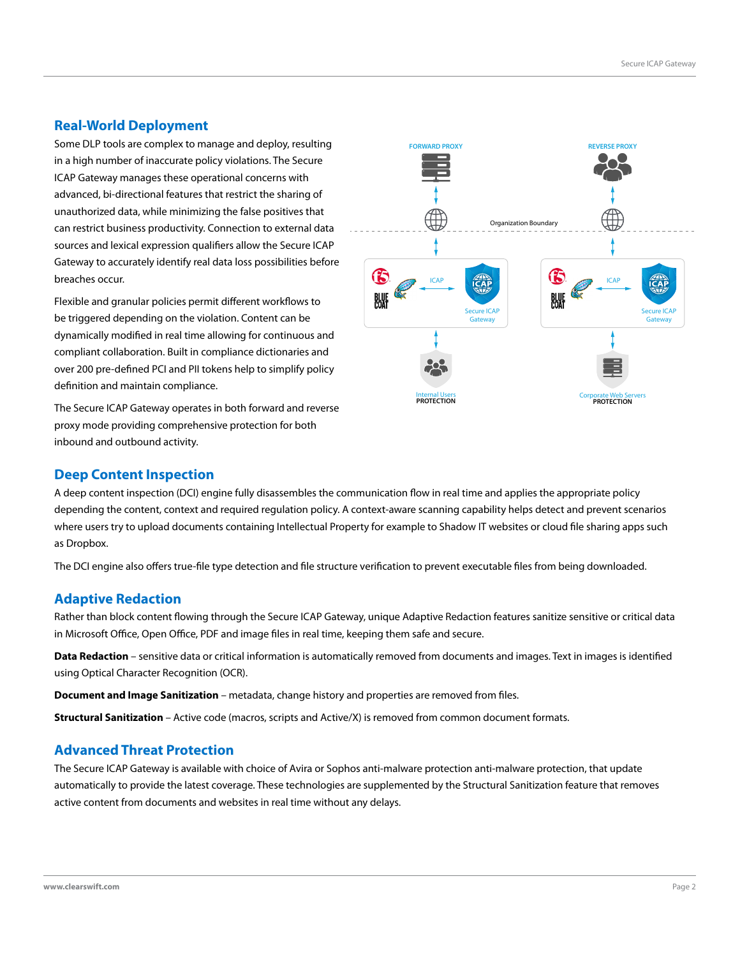## **Real-World Deployment**

Some DLP tools are complex to manage and deploy, resulting in a high number of inaccurate policy violations. The Secure ICAP Gateway manages these operational concerns with advanced, bi-directional features that restrict the sharing of unauthorized data, while minimizing the false positives that can restrict business productivity. Connection to external data sources and lexical expression qualifiers allow the Secure ICAP Gateway to accurately identify real data loss possibilities before breaches occur.

Flexible and granular policies permit different workflows to be triggered depending on the violation. Content can be dynamically modified in real time allowing for continuous and compliant collaboration. Built in compliance dictionaries and over 200 pre-defined PCI and PII tokens help to simplify policy definition and maintain compliance.

The Secure ICAP Gateway operates in both forward and reverse proxy mode providing comprehensive protection for both inbound and outbound activity.



#### **Deep Content Inspection**

A deep content inspection (DCI) engine fully disassembles the communication flow in real time and applies the appropriate policy depending the content, context and required regulation policy. A context-aware scanning capability helps detect and prevent scenarios where users try to upload documents containing Intellectual Property for example to Shadow IT websites or cloud file sharing apps such as Dropbox.

The DCI engine also offers true-file type detection and file structure verification to prevent executable files from being downloaded.

## **Adaptive Redaction**

Rather than block content flowing through the Secure ICAP Gateway, unique Adaptive Redaction features sanitize sensitive or critical data in Microsoft Office, Open Office, PDF and image files in real time, keeping them safe and secure.

**Data Redaction** – sensitive data or critical information is automatically removed from documents and images. Text in images is identified using Optical Character Recognition (OCR).

**Document and Image Sanitization** – metadata, change history and properties are removed from files.

**Structural Sanitization** – Active code (macros, scripts and Active/X) is removed from common document formats.

#### **Advanced Threat Protection**

The Secure ICAP Gateway is available with choice of Avira or Sophos anti-malware protection anti-malware protection, that update automatically to provide the latest coverage. These technologies are supplemented by the Structural Sanitization feature that removes active content from documents and websites in real time without any delays.